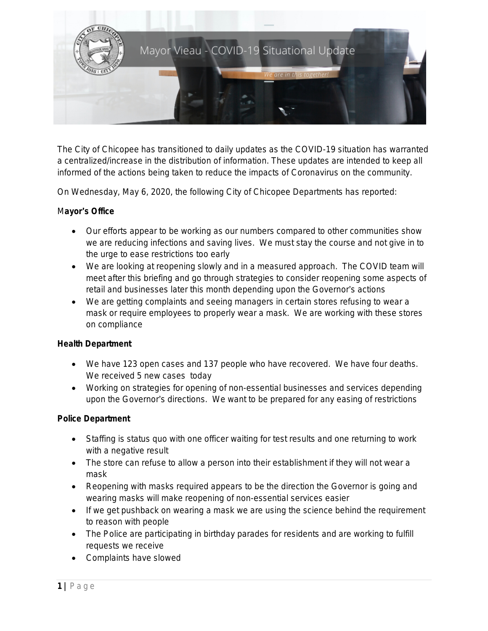

The City of Chicopee has transitioned to daily updates as the COVID-19 situation has warranted a centralized/increase in the distribution of information. These updates are intended to keep all informed of the actions being taken to reduce the impacts of Coronavirus on the community.

On Wednesday, May 6, 2020, the following City of Chicopee Departments has reported:

# M**ayor**'**s Office**

- Our efforts appear to be working as our numbers compared to other communities show we are reducing infections and saving lives. We must stay the course and not give in to the urge to ease restrictions too early
- We are looking at reopening slowly and in a measured approach. The COVID team will meet after this briefing and go through strategies to consider reopening some aspects of retail and businesses later this month depending upon the Governor's actions
- We are getting complaints and seeing managers in certain stores refusing to wear a mask or require employees to properly wear a mask. We are working with these stores on compliance

# **Health Department**

- We have 123 open cases and 137 people who have recovered. We have four deaths. We received 5 new cases today
- Working on strategies for opening of non-essential businesses and services depending upon the Governor's directions. We want to be prepared for any easing of restrictions

# **Police Department**

- Staffing is status quo with one officer waiting for test results and one returning to work with a negative result
- The store can refuse to allow a person into their establishment if they will not wear a mask
- Reopening with masks required appears to be the direction the Governor is going and wearing masks will make reopening of non-essential services easier
- If we get pushback on wearing a mask we are using the science behind the requirement to reason with people
- The Police are participating in birthday parades for residents and are working to fulfill requests we receive
- Complaints have slowed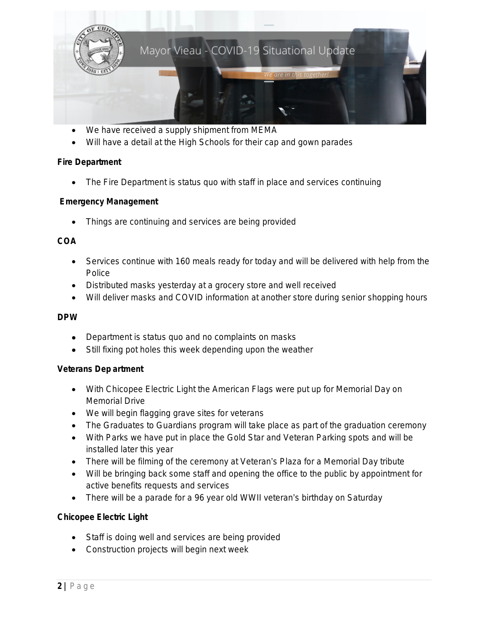

- We have received a supply shipment from MEMA
- Will have a detail at the High Schools for their cap and gown parades

#### **Fire Department**

• The Fire Department is status quo with staff in place and services continuing

### **Emergency Management**

Things are continuing and services are being provided

### **COA**

- Services continue with 160 meals ready for today and will be delivered with help from the Police
- Distributed masks yesterday at a grocery store and well received
- Will deliver masks and COVID information at another store during senior shopping hours

#### **DPW**

- Department is status quo and no complaints on masks
- Still fixing pot holes this week depending upon the weather

#### **Veterans Dep artment**

- With Chicopee Electric Light the American Flags were put up for Memorial Day on Memorial Drive
- We will begin flagging grave sites for veterans
- The Graduates to Guardians program will take place as part of the graduation ceremony
- With Parks we have put in place the Gold Star and Veteran Parking spots and will be installed later this year
- There will be filming of the ceremony at Veteran's Plaza for a Memorial Day tribute
- Will be bringing back some staff and opening the office to the public by appointment for active benefits requests and services
- There will be a parade for a 96 year old WWII veteran's birthday on Saturday

# **Chicopee Electric Light**

- Staff is doing well and services are being provided
- Construction projects will begin next week